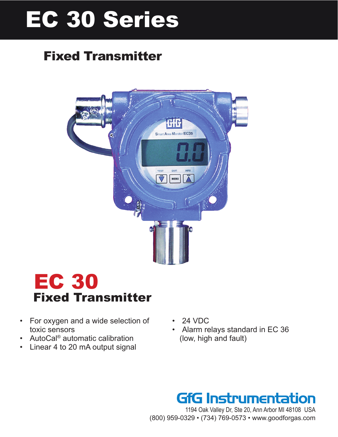# EC 30 Series

## Fixed Transmitter



## EC 30 Fixed Transmitter

- For oxygen and a wide selection of toxic sensors
- AutoCal<sup>®</sup> automatic calibration
- Linear 4 to 20 mA output signal
- 24 VDC
- Alarm relays standard in EC 36 (low, high and fault)

## **GfG Instrumentation**

1194 Oak Valley Dr, Ste 20, Ann Arbor MI 48108 USA (800) 959-0329 • (734) 769-0573 • www.goodforgas.com